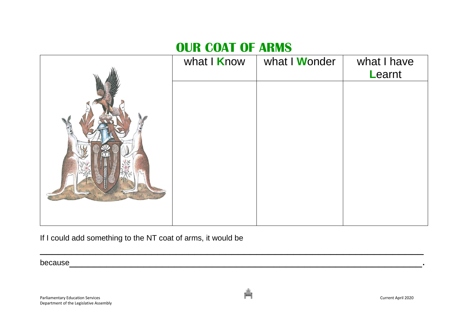## **OUR COAT OF ARMS**

| what I Know | what I Wonder | what I have<br>Learnt |
|-------------|---------------|-----------------------|
|             |               |                       |
|             |               |                       |
|             |               |                       |
|             |               |                       |
|             |               |                       |
|             |               |                       |

 $\mathcal{L}=\{z\in\mathcal{L}^{\mathcal{L}}:z\in\mathcal{L}^{\mathcal{L}}:z\in\mathcal{L}^{\mathcal{L}}:z\in\mathcal{L}^{\mathcal{L}}:z\in\mathcal{L}^{\mathcal{L}}:z\in\mathcal{L}^{\mathcal{L}}:z\in\mathcal{L}^{\mathcal{L}}:z\in\mathcal{L}^{\mathcal{L}}:z\in\mathcal{L}^{\mathcal{L}}:z\in\mathcal{L}^{\mathcal{L}}:z\in\mathcal{L}^{\mathcal{L}}:z\in\mathcal{L}^{\mathcal{L}}:z\in\mathcal{L$ 

If I could add something to the NT coat of arms, it would be

because we have a set of the set of the set of the set of the set of the set of the set of the set of the set o